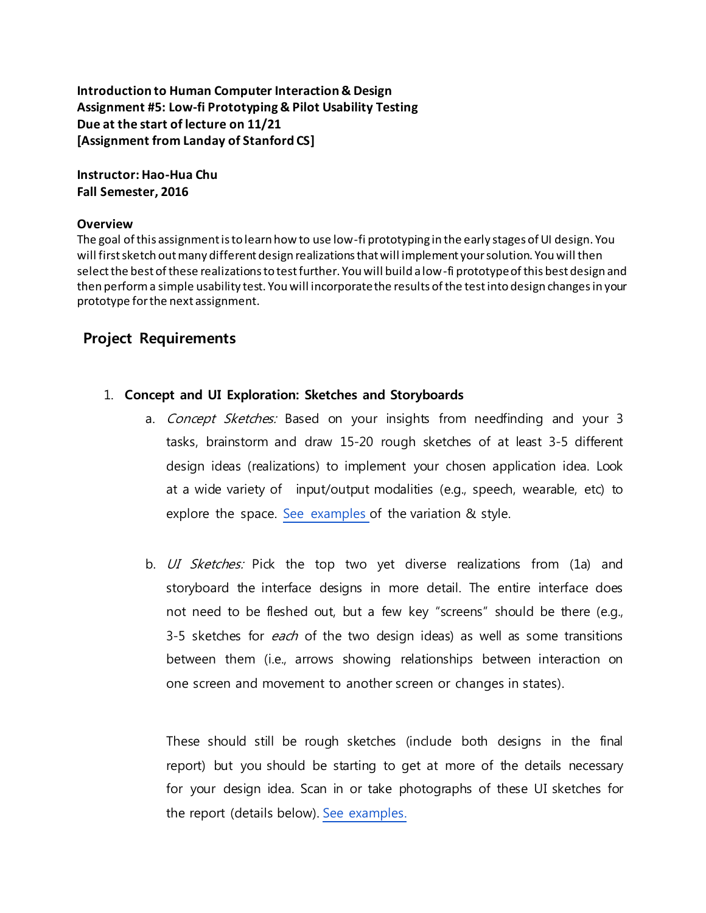**Introduction to Human Computer Interaction & Design Assignment #5: Low-fi Prototyping & Pilot Usability Testing Due at the start of lecture on 11/21 [Assignment from Landay of Stanford CS]**

**Instructor: Hao-Hua Chu Fall Semester, 2016**

#### **Overview**

The goal of this assignment is to learn how to use low-fi prototyping in the early stages of UI design. You will first sketch out many different design realizations that will implement your solution. You will then select the best of these realizations to test further. You will build a low-fi prototype of this best design and then perform a simple usability test. You will incorporate the results of the test into design changes in your prototype for the next assignment.

#### **Project Requirements**

- 1. **Concept and UI Exploration: Sketches and Storyboards**
	- a. Concept Sketches: Based on your insights from needfinding and your 3 tasks, brainstorm and draw 15-20 rough sketches of at least 3-5 different design ideas (realizations) to implement your chosen application idea. Look at a wide variety of input/output modalities (e.g., speech, wearable, etc) to explore the space. See [examples](http://hci.stanford.edu/courses/cs147/2015/au/assignments/examples/chemoSyncau2015-examples.pdf) of the variation & style.
	- b. UI Sketches: Pick the top two yet diverse realizations from (1a) and storyboard the interface designs in more detail. The entire interface does not need to be fleshed out, but a few key "screens" should be there (e.g., 3-5 sketches for *each* of the two design ideas) as well as some transitions between them (i.e., arrows showing relationships between interaction on one screen and movement to another screen or changes in states).

These should still be rough sketches (indude both designs in the final report) but you should be starting to get at more of the details necessary for your design idea. Scan in or take photographs of these UI sketches for the report (details below). See [examples.](http://hci.stanford.edu/courses/cs147/2015/au/assignments/examples/wonderlustau2015-storyboard-examples.pdf)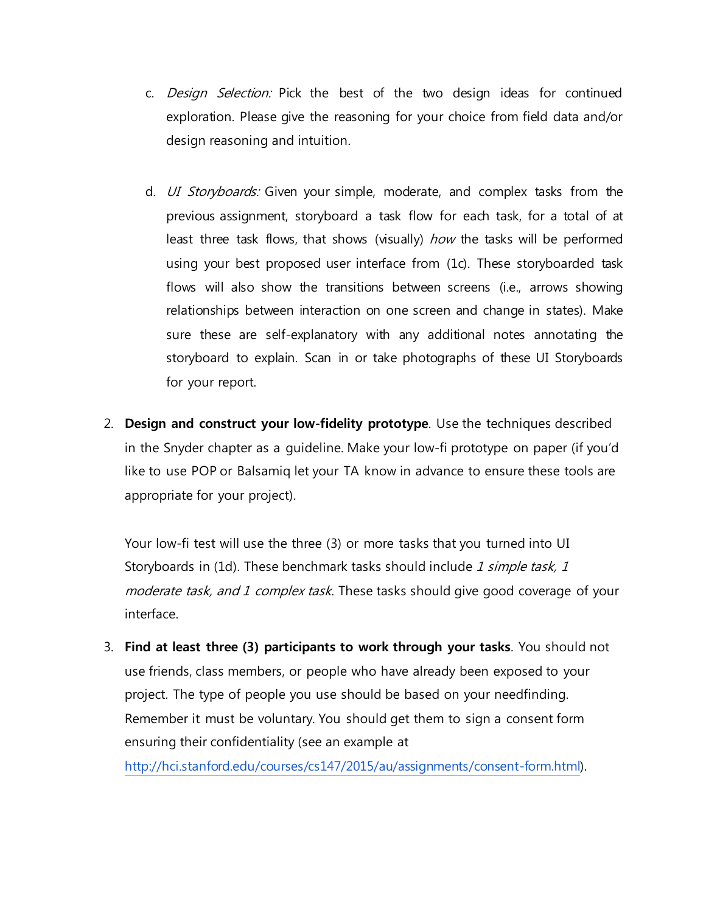- c. Design Selection: Pick the best of the two design ideas for continued exploration. Please give the reasoning for your choice from field data and/or design reasoning and intuition.
- d. *UI Storyboards:* Given your simple, moderate, and complex tasks from the previous assignment, storyboard a task flow for each task, for a total of at least three task flows, that shows (visually) how the tasks will be performed using your best proposed user interface from (1c). These storyboarded task flows will also show the transitions between screens (i.e., arrows showing relationships between interaction on one screen and change in states). Make sure these are self-explanatory with any additional notes annotating the storyboard to explain. Scan in or take photographs of these UI Storyboards for your report.
- 2. **Design and construct your low-fidelity prototype**. Use the techniques described in the Snyder chapter as a guideline. Make your low-fi prototype on paper (if you'd like to use POP or Balsamiq let your TA know in advance to ensure these tools are appropriate for your project).

Your low-fi test will use the three (3) or more tasks that you turned into UI Storyboards in (1d). These benchmark tasks should include 1 simple task, 1 moderate task, and 1 complex task. These tasks should give good coverage of your interface.

3. **Find at least three (3) participants to work through your tasks**. You should not use friends, class members, or people who have already been exposed to your project. The type of people you use should be based on your needfinding. Remember it must be voluntary. You should get them to sign a consent form ensuring their confidentiality (see an example at <http://hci.stanford.edu/courses/cs147/2015/au/assignments/consent-form.html>).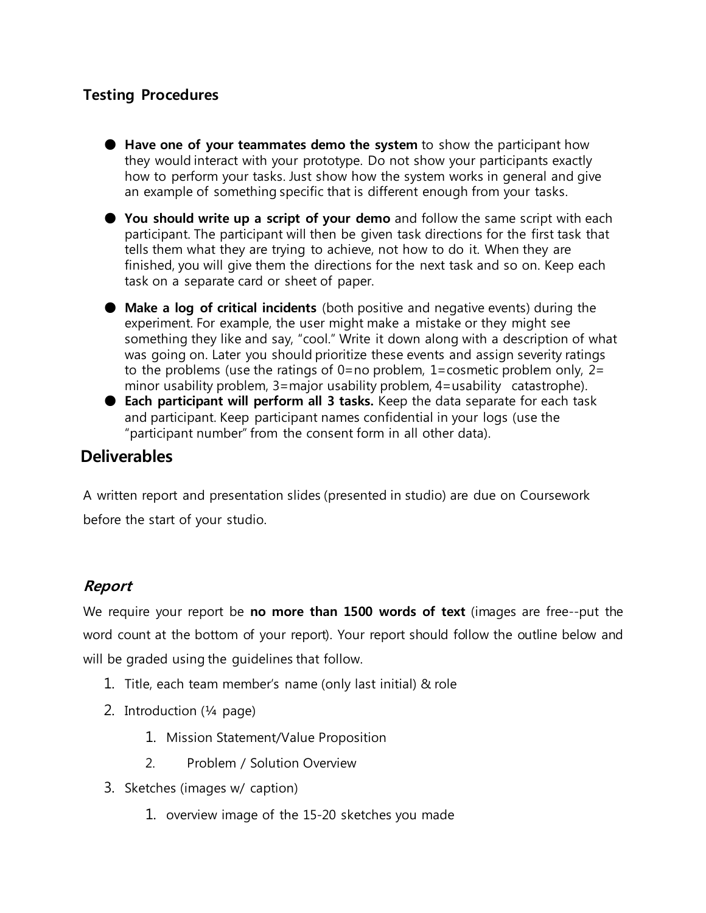# **Testing Procedures**

- **Have one of your teammates demo the system** to show the participant how they would interact with your prototype. Do not show your participants exactly how to perform your tasks. Just show how the system works in general and give an example of something specific that is different enough from your tasks.
- **You should write up a script of your demo** and follow the same script with each participant. The participant will then be given task directions for the first task that tells them what they are trying to achieve, not how to do it. When they are finished, you will give them the directions for the next task and so on. Keep each task on a separate card or sheet of paper.
- **Make a log of critical incidents** (both positive and negative events) during the experiment. For example, the user might make a mistake or they might see something they like and say, "cool." Write it down along with a description of what was going on. Later you should prioritize these events and assign severity ratings to the problems (use the ratings of 0=no problem, 1=cosmetic problem only,  $2=$ minor usability problem, 3=major usability problem, 4=usability catastrophe).
- **Each participant will perform all 3 tasks.** Keep the data separate for each task and participant. Keep participant names confidential in your logs (use the "participant number" from the consent form in all other data).

# **Deliverables**

A written report and presentation slides (presented in studio) are due on Coursework before the start of your studio.

### **Report**

We require your report be **no more than 1500 words of text** (images are free--put the word count at the bottom of your report). Your report should follow the outline below and will be graded using the guidelines that follow.

- 1. Title, each team member's name (only last initial) & role
- 2. Introduction (¼ page)
	- 1. Mission Statement/Value Proposition
	- 2. Problem / Solution Overview
- 3. Sketches (images w/ caption)
	- 1. overview image of the 15-20 sketches you made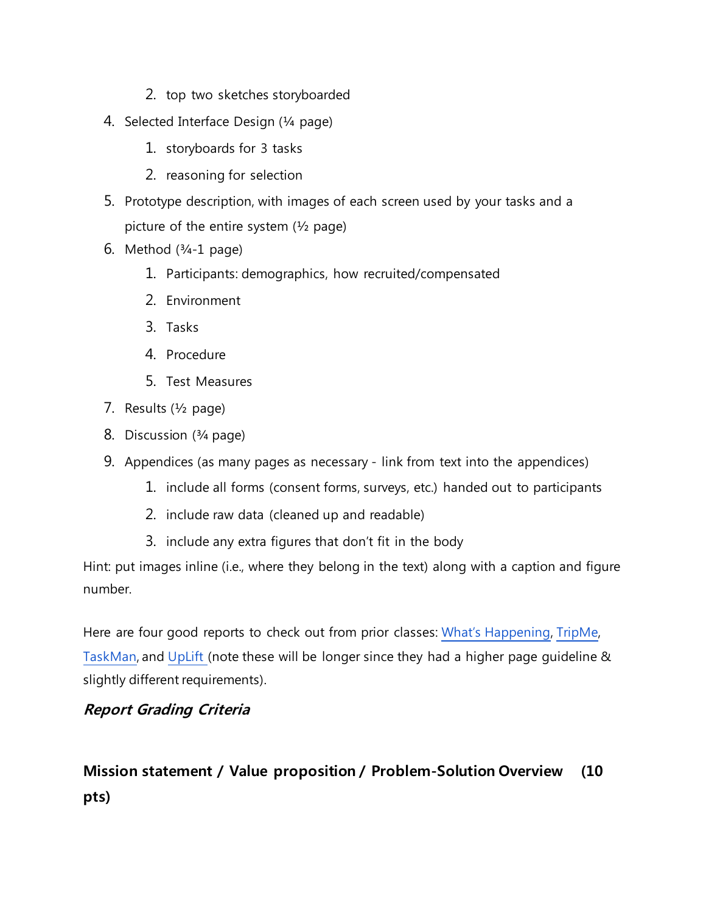- 2. top two sketches storyboarded
- 4. Selected Interface Design (¼ page)
	- 1. storyboards for 3 tasks
	- 2. reasoning for selection
- 5. Prototype description, with images of each screen used by your tasks and a picture of the entire system  $(\frac{1}{2})$  page)
- 6. Method  $(3/4-1)$  page)
	- 1. Participants: demographics, how recruited/compensated
	- 2. Environment
	- 3. Tasks
	- 4. Procedure
	- 5. Test Measures
- 7. Results (½ page)
- 8. Discussion (¾ page)
- 9. Appendices (as many pages as necessary link from text into the appendices)
	- 1. include all forms (consent forms, surveys, etc.) handed out to participants
	- 2. include raw data (cleaned up and readable)
	- 3. include any extra figures that don't fit in the body

Hint: put images inline (i.e., where they belong in the text) along with a caption and figure number.

Here are four good reports to check out from prior classes: What's [Happening](http://www.cs.washington.edu/education/courses/cse440/07au/project_files/whatshappening/#paper_prototype), [TripMe,](http://www.cs.washington.edu/education/courses/cse440/07au/project_files/alttransportation/CSE_440_Low-fi_Prototypying_and_Usability_Testingy.doc) [TaskMan](http://www.cs.washington.edu/education/courses/cse440/12wi/projects/ihnw/UserTesting.pdf), and [UpLift](http://www.cs.washington.edu/education/courses/cse440/12wi/projects/uplift/assignments/low_fi_prototype.pdf) (note these will be longer since they had a higher page guideline & slightly different requirements).

# **Report Grading Criteria**

# **Mission statement / Value proposition / Problem-Solution Overview (10 pts)**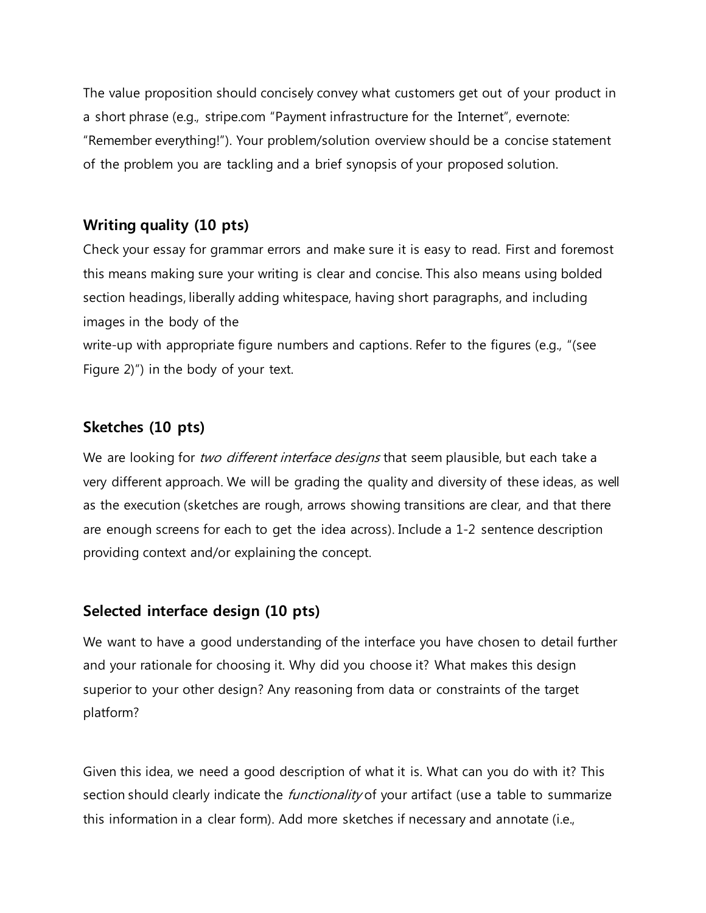The value proposition should concisely convey what customers get out of your product in a short phrase (e.g., stripe.com "Payment infrastructure for the Internet", evernote: "Remember everything!"). Your problem/solution overview should be a concise statement of the problem you are tackling and a brief synopsis of your proposed solution.

#### **Writing quality (10 pts)**

Check your essay for grammar errors and make sure it is easy to read. First and foremost this means making sure your writing is clear and concise. This also means using bolded section headings, liberally adding whitespace, having short paragraphs, and including images in the body of the

write-up with appropriate figure numbers and captions. Refer to the figures (e.g., "(see Figure 2)") in the body of your text.

### **Sketches (10 pts)**

We are looking for two different interface designs that seem plausible, but each take a very different approach. We will be grading the quality and diversity of these ideas, as well as the execution (sketches are rough, arrows showing transitions are clear, and that there are enough screens for each to get the idea across). Include a 1-2 sentence description providing context and/or explaining the concept.

#### **Selected interface design (10 pts)**

We want to have a good understanding of the interface you have chosen to detail further and your rationale for choosing it. Why did you choose it? What makes this design superior to your other design? Any reasoning from data or constraints of the target platform?

Given this idea, we need a good description of what it is. What can you do with it? This section should clearly indicate the *functionality* of your artifact (use a table to summarize this information in a clear form). Add more sketches if necessary and annotate (i.e.,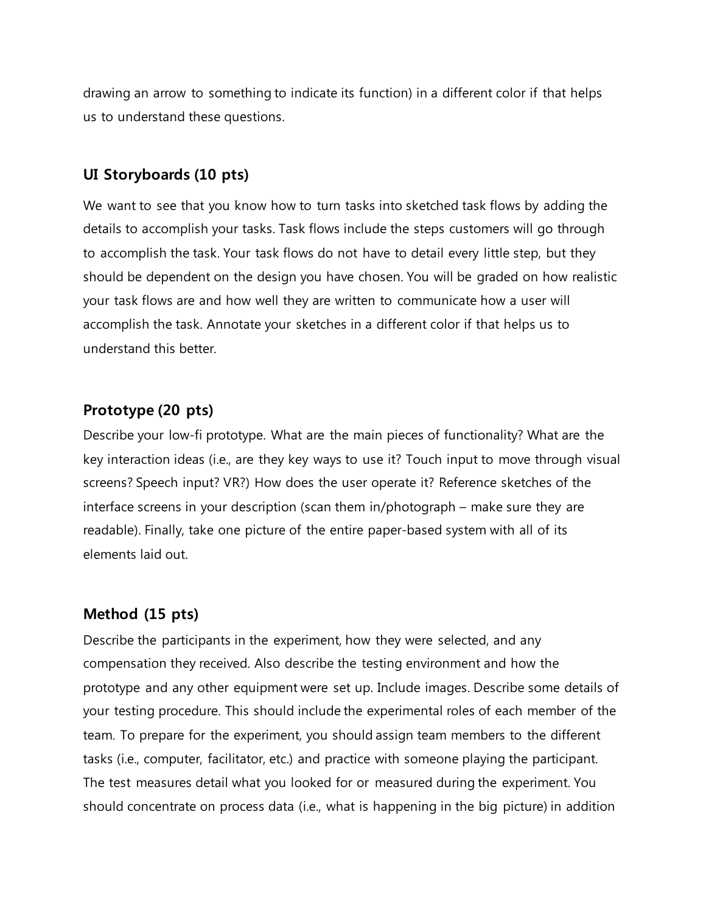drawing an arrow to something to indicate its function) in a different color if that helps us to understand these questions.

#### **UI Storyboards (10 pts)**

We want to see that you know how to turn tasks into sketched task flows by adding the details to accomplish your tasks. Task flows include the steps customers will go through to accomplish the task. Your task flows do not have to detail every little step, but they should be dependent on the design you have chosen. You will be graded on how realistic your task flows are and how well they are written to communicate how a user will accomplish the task. Annotate your sketches in a different color if that helps us to understand this better.

#### **Prototype (20 pts)**

Describe your low-fi prototype. What are the main pieces of functionality? What are the key interaction ideas (i.e., are they key ways to use it? Touch input to move through visual screens? Speech input? VR?) How does the user operate it? Reference sketches of the interface screens in your description (scan them in/photograph – make sure they are readable). Finally, take one picture of the entire paper-based system with all of its elements laid out.

### **Method (15 pts)**

Describe the participants in the experiment, how they were selected, and any compensation they received. Also describe the testing environment and how the prototype and any other equipment were set up. Include images. Describe some details of your testing procedure. This should include the experimental roles of each member of the team. To prepare for the experiment, you should assign team members to the different tasks (i.e., computer, facilitator, etc.) and practice with someone playing the participant. The test measures detail what you looked for or measured during the experiment. You should concentrate on process data (i.e., what is happening in the big picture) in addition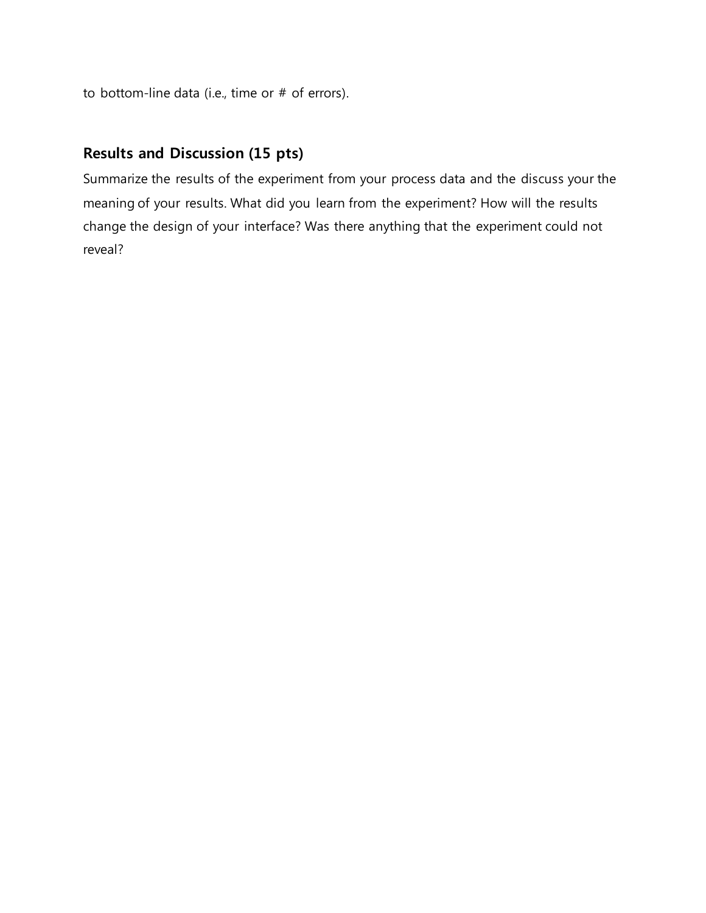to bottom-line data (i.e., time or # of errors).

# **Results and Discussion (15 pts)**

Summarize the results of the experiment from your process data and the discuss your the meaning of your results. What did you learn from the experiment? How will the results change the design of your interface? Was there anything that the experiment could not reveal?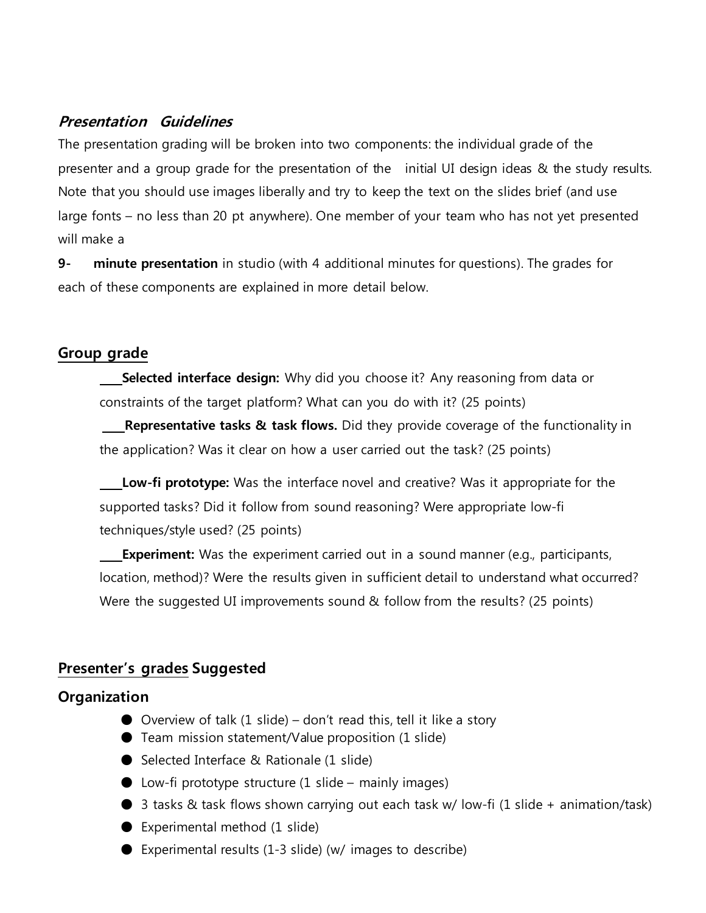# **Presentation Guidelines**

The presentation grading will be broken into two components: the individual grade of the presenter and a group grade for the presentation of the initial UI design ideas & the study results. Note that you should use images liberally and try to keep the text on the slides brief (and use large fonts – no less than 20 pt anywhere). One member of your team who has not yet presented will make a

**9- minute presentation** in studio (with 4 additional minutes for questions). The grades for each of these components are explained in more detail below.

# **Group grade**

**Selected interface design:** Why did you choose it? Any reasoning from data or constraints of the target platform? What can you do with it? (25 points)

**Representative tasks & task flows.** Did they provide coverage of the functionality in the application? Was it clear on how a user carried out the task? (25 points)

**Low-fi prototype:** Was the interface novel and creative? Was it appropriate for the supported tasks? Did it follow from sound reasoning? Were appropriate low-fi techniques/style used? (25 points)

**Experiment:** Was the experiment carried out in a sound manner (e.g., participants, location, method)? Were the results given in sufficient detail to understand what occurred? Were the suggested UI improvements sound & follow from the results? (25 points)

# **Presenter's grades Suggested**

### **Organization**

- $\bullet$  Overview of talk (1 slide) don't read this, tell it like a story
- Team mission statement/Value proposition (1 slide)
- Selected Interface & Rationale (1 slide)
- $\bullet$  Low-fi prototype structure (1 slide mainly images)
- 3 tasks & task flows shown carrying out each task w/ low-fi (1 slide + animation/task)
- Experimental method (1 slide)
- Experimental results (1-3 slide) (w/ images to describe)